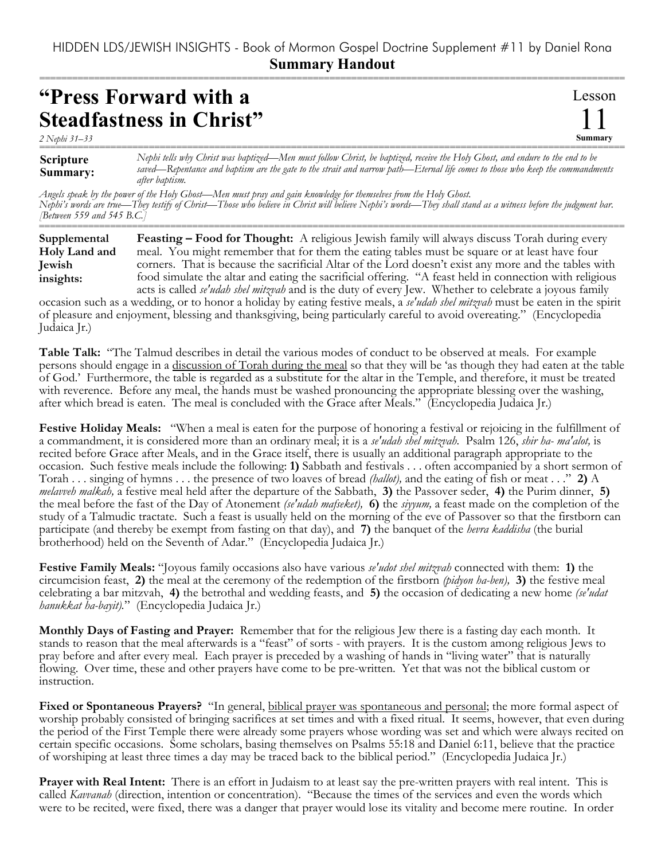## HIDDEN LDS/JEWISH INSIGHTS - Book of Mormon Gospel Doctrine Supplement #11 by Daniel Rona **Summary Handout**

===========================================================================================================

## **"Press Forward with a Steadfastness in Christ"**

*2 Nephi 31–33*

Lesson 11 **Summary**

**Scripture Summary:** =========================================================================================================== *Nephi tells why Christ was baptized—Men must follow Christ, be baptized, receive the Holy Ghost, and endure to the end to be saved—Repentance and baptism are the gate to the strait and narrow path—Eternal life comes to those who keep the commandments after baptism.*

*Angels speak by the power of the Holy Ghost—Men must pray and gain knowledge for themselves from the Holy Ghost. Nephi's words are true—They testify of Christ—Those who believe in Christ will believe Nephi's words—They shall stand as a witness before the judgment bar. [Between 559 and 545 B.C.]*

=========================================================================================================== **Feasting – Food for Thought:** A religious Jewish family will always discuss Torah during every meal. You might remember that for them the eating tables must be square or at least have four corners. That is because the sacrificial Altar of the Lord doesn't exist any more and the tables with food simulate the altar and eating the sacrificial offering. "A feast held in connection with religious acts is called *se'udah shel mitzvah* and is the duty of every Jew. Whether to celebrate a joyous family **Supplemental Holy Land and Jewish insights:**

occasion such as a wedding, or to honor a holiday by eating festive meals, a *se'udah shel mitzvah* must be eaten in the spirit of pleasure and enjoyment, blessing and thanksgiving, being particularly careful to avoid overeating." (Encyclopedia Judaica Jr.)

**Table Talk:** "The Talmud describes in detail the various modes of conduct to be observed at meals. For example persons should engage in a discussion of Torah during the meal so that they will be 'as though they had eaten at the table of God.' Furthermore, the table is regarded as a substitute for the altar in the Temple, and therefore, it must be treated with reverence. Before any meal, the hands must be washed pronouncing the appropriate blessing over the washing, after which bread is eaten. The meal is concluded with the Grace after Meals." (Encyclopedia Judaica Jr.)

**Festive Holiday Meals:** "When a meal is eaten for the purpose of honoring a festival or rejoicing in the fulfillment of a commandment, it is considered more than an ordinary meal; it is a *se'udah shel mitzvah.* Psalm 126, *shir ha- ma'alot,* is recited before Grace after Meals, and in the Grace itself, there is usually an additional paragraph appropriate to the occasion. Such festive meals include the following: **1)** Sabbath and festivals . . . often accompanied by a short sermon of Torah . . . singing of hymns . . . the presence of two loaves of bread *(hallot),* and the eating of fish or meat . . ." **2)** A *melavveh malkah,* a festive meal held after the departure of the Sabbath, **3)** the Passover seder, **4)** the Purim dinner, **5)** the meal before the fast of the Day of Atonement *(se'udah mafseket),* **6)** the *siyyum,* a feast made on the completion of the study of a Talmudic tractate. Such a feast is usually held on the morning of the eve of Passover so that the firstborn can participate (and thereby be exempt from fasting on that day), and **7)** the banquet of the *hevra kaddisha* (the burial brotherhood) held on the Seventh of Adar." (Encyclopedia Judaica Jr.)

**Festive Family Meals:** "Joyous family occasions also have various *se'udot shel mitzvah* connected with them: **1)** the circumcision feast, **2)** the meal at the ceremony of the redemption of the firstborn *(pidyon ha-ben),* **3)** the festive meal celebrating a bar mitzvah, **4)** the betrothal and wedding feasts, and **5)** the occasion of dedicating a new home *(se'udat hanukkat ha-bayit).*" (Encyclopedia Judaica Jr.)

**Monthly Days of Fasting and Prayer:** Remember that for the religious Jew there is a fasting day each month. It stands to reason that the meal afterwards is a "feast" of sorts - with prayers. It is the custom among religious Jews to pray before and after every meal. Each prayer is preceded by a washing of hands in "living water" that is naturally flowing. Over time, these and other prayers have come to be pre-written. Yet that was not the biblical custom or instruction.

**Fixed or Spontaneous Prayers?** "In general, biblical prayer was spontaneous and personal; the more formal aspect of worship probably consisted of bringing sacrifices at set times and with a fixed ritual. It seems, however, that even during the period of the First Temple there were already some prayers whose wording was set and which were always recited on certain specific occasions. Some scholars, basing themselves on Psalms 55:18 and Daniel 6:11, believe that the practice of worshiping at least three times a day may be traced back to the biblical period." (Encyclopedia Judaica Jr.)

**Prayer with Real Intent:** There is an effort in Judaism to at least say the pre-written prayers with real intent. This is called *Kavvanah* (direction, intention or concentration). "Because the times of the services and even the words which were to be recited, were fixed, there was a danger that prayer would lose its vitality and become mere routine. In order